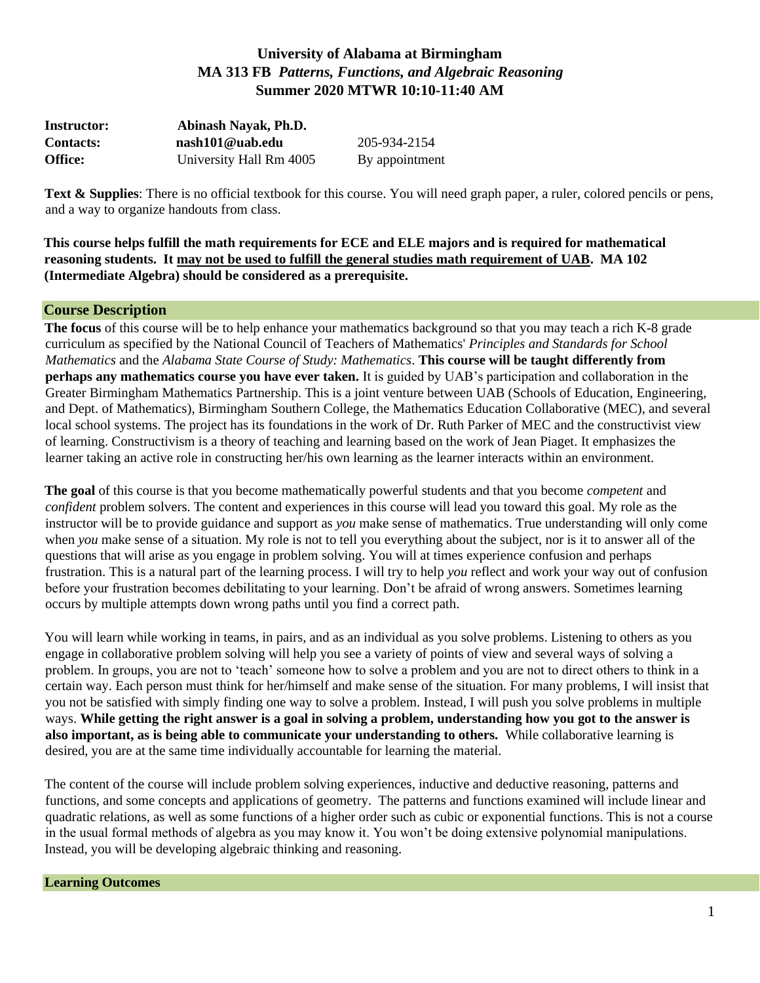# **University of Alabama at Birmingham MA 313 FB** *Patterns, Functions, and Algebraic Reasoning* **Summer 2020 MTWR 10:10-11:40 AM**

| <b>Instructor:</b> | Abinash Nayak, Ph.D.    |                |
|--------------------|-------------------------|----------------|
| <b>Contacts:</b>   | nash101@uab.edu         | 205-934-2154   |
| <b>Office:</b>     | University Hall Rm 4005 | By appointment |

**Text & Supplies**: There is no official textbook for this course. You will need graph paper, a ruler, colored pencils or pens, and a way to organize handouts from class.

**This course helps fulfill the math requirements for ECE and ELE majors and is required for mathematical reasoning students. It may not be used to fulfill the general studies math requirement of UAB. MA 102 (Intermediate Algebra) should be considered as a prerequisite.** 

# **Course Description**

**The focus** of this course will be to help enhance your mathematics background so that you may teach a rich K-8 grade curriculum as specified by the National Council of Teachers of Mathematics' *Principles and Standards for School Mathematics* and the *Alabama State Course of Study: Mathematics*. **This course will be taught differently from perhaps any mathematics course you have ever taken.** It is guided by UAB's participation and collaboration in the Greater Birmingham Mathematics Partnership. This is a joint venture between UAB (Schools of Education, Engineering, and Dept. of Mathematics), Birmingham Southern College, the Mathematics Education Collaborative (MEC), and several local school systems. The project has its foundations in the work of Dr. Ruth Parker of MEC and the constructivist view of learning. Constructivism is a theory of teaching and learning based on the work of Jean Piaget. It emphasizes the learner taking an active role in constructing her/his own learning as the learner interacts within an environment.

**The goal** of this course is that you become mathematically powerful students and that you become *competent* and *confident* problem solvers. The content and experiences in this course will lead you toward this goal. My role as the instructor will be to provide guidance and support as *you* make sense of mathematics. True understanding will only come when *you* make sense of a situation. My role is not to tell you everything about the subject, nor is it to answer all of the questions that will arise as you engage in problem solving. You will at times experience confusion and perhaps frustration. This is a natural part of the learning process. I will try to help *you* reflect and work your way out of confusion before your frustration becomes debilitating to your learning. Don't be afraid of wrong answers. Sometimes learning occurs by multiple attempts down wrong paths until you find a correct path.

You will learn while working in teams, in pairs, and as an individual as you solve problems. Listening to others as you engage in collaborative problem solving will help you see a variety of points of view and several ways of solving a problem. In groups, you are not to 'teach' someone how to solve a problem and you are not to direct others to think in a certain way. Each person must think for her/himself and make sense of the situation. For many problems, I will insist that you not be satisfied with simply finding one way to solve a problem. Instead, I will push you solve problems in multiple ways. **While getting the right answer is a goal in solving a problem, understanding how you got to the answer is also important, as is being able to communicate your understanding to others.** While collaborative learning is desired, you are at the same time individually accountable for learning the material.

The content of the course will include problem solving experiences, inductive and deductive reasoning, patterns and functions, and some concepts and applications of geometry. The patterns and functions examined will include linear and quadratic relations, as well as some functions of a higher order such as cubic or exponential functions. This is not a course in the usual formal methods of algebra as you may know it. You won't be doing extensive polynomial manipulations. Instead, you will be developing algebraic thinking and reasoning.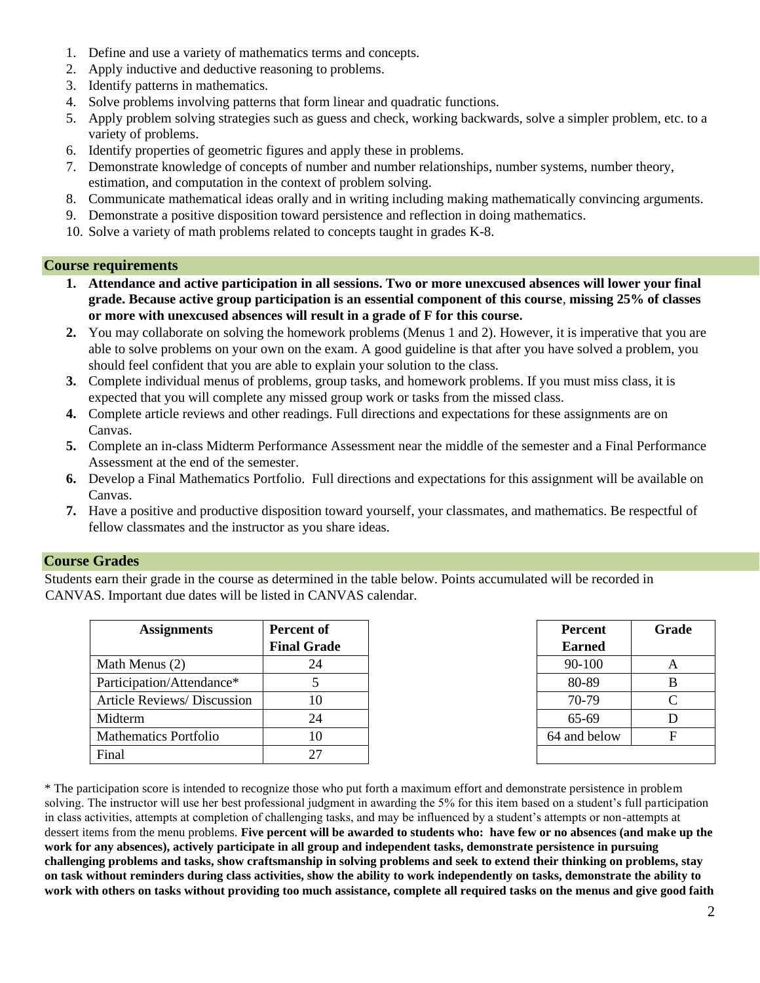- 1. Define and use a variety of mathematics terms and concepts.
- 2. Apply inductive and deductive reasoning to problems.
- 3. Identify patterns in mathematics.
- 4. Solve problems involving patterns that form linear and quadratic functions.
- 5. Apply problem solving strategies such as guess and check, working backwards, solve a simpler problem, etc. to a variety of problems.
- 6. Identify properties of geometric figures and apply these in problems.
- 7. Demonstrate knowledge of concepts of number and number relationships, number systems, number theory, estimation, and computation in the context of problem solving.
- 8. Communicate mathematical ideas orally and in writing including making mathematically convincing arguments.
- 9. Demonstrate a positive disposition toward persistence and reflection in doing mathematics.
- 10. Solve a variety of math problems related to concepts taught in grades K-8.

## **Course requirements**

- **1. Attendance and active participation in all sessions. Two or more unexcused absences will lower your final grade. Because active group participation is an essential component of this course**, **missing 25% of classes or more with unexcused absences will result in a grade of F for this course.**
- **2.** You may collaborate on solving the homework problems (Menus 1 and 2). However, it is imperative that you are able to solve problems on your own on the exam. A good guideline is that after you have solved a problem, you should feel confident that you are able to explain your solution to the class.
- **3.** Complete individual menus of problems, group tasks, and homework problems. If you must miss class, it is expected that you will complete any missed group work or tasks from the missed class.
- **4.** Complete article reviews and other readings. Full directions and expectations for these assignments are on Canvas.
- **5.** Complete an in-class Midterm Performance Assessment near the middle of the semester and a Final Performance Assessment at the end of the semester.
- **6.** Develop a Final Mathematics Portfolio. Full directions and expectations for this assignment will be available on Canvas.
- **7.** Have a positive and productive disposition toward yourself, your classmates, and mathematics. Be respectful of fellow classmates and the instructor as you share ideas.

# **Course Grades**

Students earn their grade in the course as determined in the table below. Points accumulated will be recorded in CANVAS. Important due dates will be listed in CANVAS calendar.

| <b>Assignments</b>           | Percent of         | <b>Percent</b> | Grac         |
|------------------------------|--------------------|----------------|--------------|
|                              | <b>Final Grade</b> | <b>Earned</b>  |              |
| Math Menus (2)               | 24                 | 90-100         | A            |
| Participation/Attendance*    |                    | 80-89          | B            |
| Article Reviews/Discussion   | 10                 | 70-79          | $\mathsf{C}$ |
| Midterm                      | 24                 | 65-69          | D            |
| <b>Mathematics Portfolio</b> | 10                 | 64 and below   | $\mathbf{F}$ |
| Final                        | 27                 |                |              |

| <b>Percent</b> | Grade |
|----------------|-------|
| <b>Earned</b>  |       |
| 90-100         | A     |
| 80-89          | B     |
| 70-79          | C     |
| 65-69          | D     |
| 64 and below   | F     |
|                |       |

\* The participation score is intended to recognize those who put forth a maximum effort and demonstrate persistence in problem solving. The instructor will use her best professional judgment in awarding the 5% for this item based on a student's full participation in class activities, attempts at completion of challenging tasks, and may be influenced by a student's attempts or non-attempts at dessert items from the menu problems. **Five percent will be awarded to students who: have few or no absences (and make up the work for any absences), actively participate in all group and independent tasks, demonstrate persistence in pursuing challenging problems and tasks, show craftsmanship in solving problems and seek to extend their thinking on problems, stay on task without reminders during class activities, show the ability to work independently on tasks, demonstrate the ability to work with others on tasks without providing too much assistance, complete all required tasks on the menus and give good faith**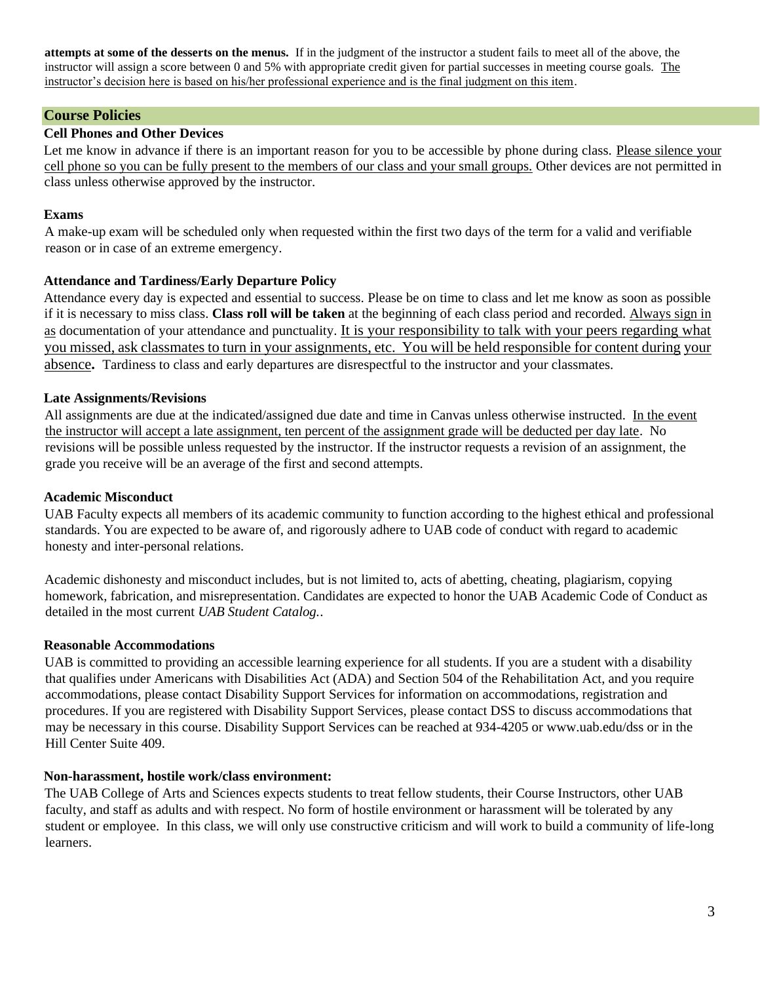**attempts at some of the desserts on the menus.** If in the judgment of the instructor a student fails to meet all of the above, the instructor will assign a score between 0 and 5% with appropriate credit given for partial successes in meeting course goals. The instructor's decision here is based on his/her professional experience and is the final judgment on this item.

## **Course Policies**

## **Cell Phones and Other Devices**

Let me know in advance if there is an important reason for you to be accessible by phone during class. Please silence your cell phone so you can be fully present to the members of our class and your small groups. Other devices are not permitted in class unless otherwise approved by the instructor.

#### **Exams**

A make-up exam will be scheduled only when requested within the first two days of the term for a valid and verifiable reason or in case of an extreme emergency.

## **Attendance and Tardiness/Early Departure Policy**

Attendance every day is expected and essential to success. Please be on time to class and let me know as soon as possible if it is necessary to miss class. **Class roll will be taken** at the beginning of each class period and recorded. Always sign in as documentation of your attendance and punctuality. It is your responsibility to talk with your peers regarding what you missed, ask classmates to turn in your assignments, etc. You will be held responsible for content during your absence**.** Tardiness to class and early departures are disrespectful to the instructor and your classmates.

## **Late Assignments/Revisions**

All assignments are due at the indicated/assigned due date and time in Canvas unless otherwise instructed. In the event the instructor will accept a late assignment, ten percent of the assignment grade will be deducted per day late. No revisions will be possible unless requested by the instructor. If the instructor requests a revision of an assignment, the grade you receive will be an average of the first and second attempts.

#### **Academic Misconduct**

UAB Faculty expects all members of its academic community to function according to the highest ethical and professional standards. You are expected to be aware of, and rigorously adhere to UAB code of conduct with regard to academic honesty and inter-personal relations.

Academic dishonesty and misconduct includes, but is not limited to, acts of abetting, cheating, plagiarism, copying homework, fabrication, and misrepresentation. Candidates are expected to honor the UAB Academic Code of Conduct as detailed in the most current *UAB Student Catalog.*.

#### **Reasonable Accommodations**

UAB is committed to providing an accessible learning experience for all students. If you are a student with a disability that qualifies under Americans with Disabilities Act (ADA) and Section 504 of the Rehabilitation Act, and you require accommodations, please contact Disability Support Services for information on accommodations, registration and procedures. If you are registered with Disability Support Services, please contact DSS to discuss accommodations that may be necessary in this course. Disability Support Services can be reached at 934-4205 or www.uab.edu/dss or in the Hill Center Suite 409.

#### **Non-harassment, hostile work/class environment:**

The UAB College of Arts and Sciences expects students to treat fellow students, their Course Instructors, other UAB faculty, and staff as adults and with respect. No form of hostile environment or harassment will be tolerated by any student or employee. In this class, we will only use constructive criticism and will work to build a community of life-long learners.